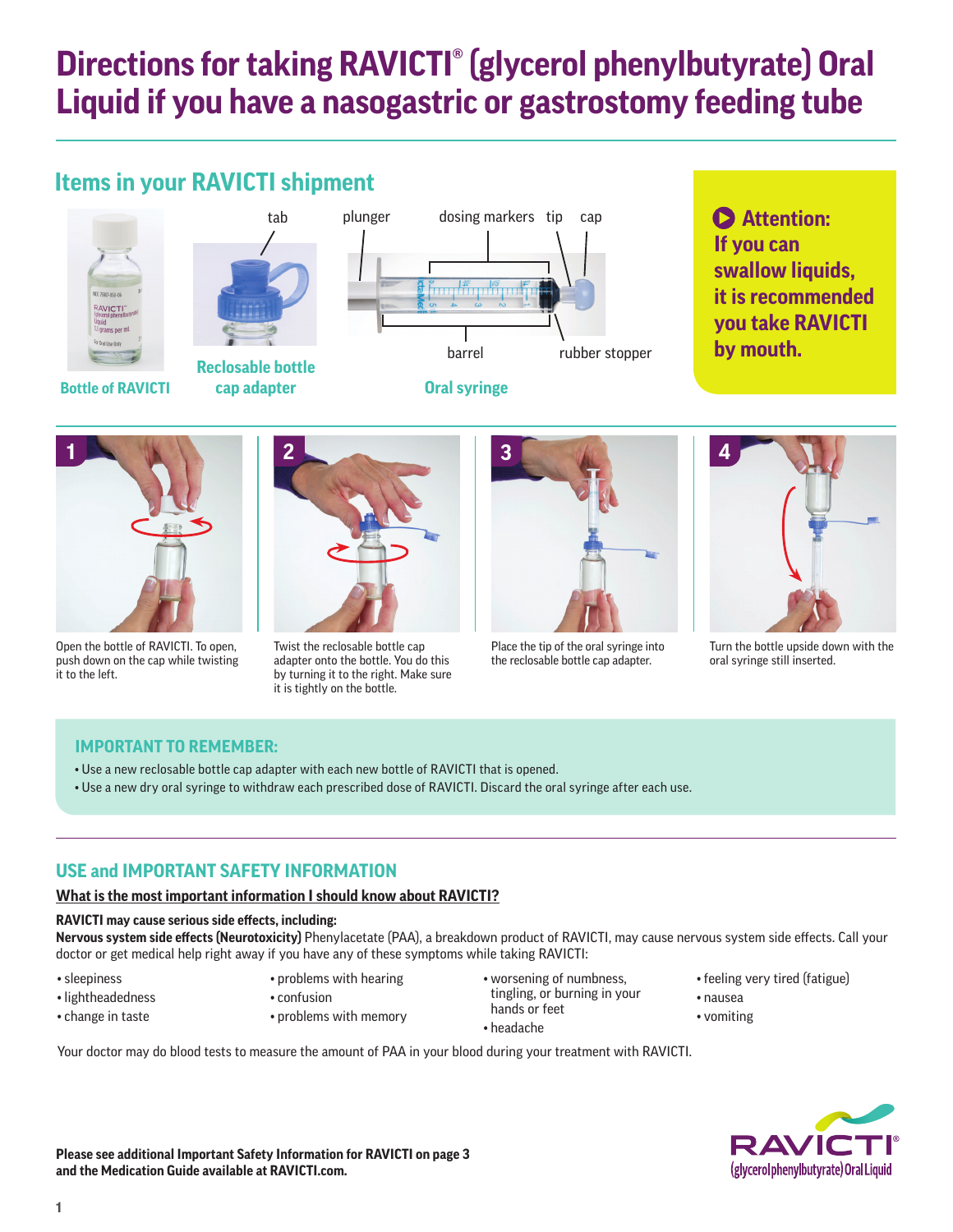# **Directions for taking RAVICTI® (glycerol phenylbutyrate) Oral Liquid if you have a nasogastric or gastrostomy feeding tube**

# **Items in your RAVICTI shipment**





**cap adapter**



**Attention: If you can swallow liquids, it is recommended you take RAVICTI by mouth.**



Open the bottle of RAVICTI. To open, push down on the cap while twisting it to the left.



Twist the reclosable bottle cap adapter onto the bottle. You do this by turning it to the right. Make sure it is tightly on the bottle.



Place the tip of the oral syringe into the reclosable bottle cap adapter.



Turn the bottle upside down with the oral syringe still inserted.

# **IMPORTANT TO REMEMBER:**

- Use a new reclosable bottle cap adapter with each new bottle of RAVICTI that is opened.
- Use a new dry oral syringe to withdraw each prescribed dose of RAVICTI. Discard the oral syringe after each use.

# **USE and IMPORTANT SAFETY INFORMATION**

## **What is the most important information I should know about RAVICTI?**

#### **RAVICTI may cause serious side effects, including:**

**Nervous system side effects (Neurotoxicity)** Phenylacetate (PAA), a breakdown product of RAVICTI, may cause nervous system side effects. Call your doctor or get medical help right away if you have any of these symptoms while taking RAVICTI:

• sleepiness

- problems with hearing
- lightheadedness • change in taste
- confusion
- problems with memory

Your doctor may do blood tests to measure the amount of PAA in your blood during your treatment with RAVICTI.

• worsening of numbness, tingling, or burning in your hands or feet

• headache

- feeling very tired (fatigue)
- nausea
- vomiting

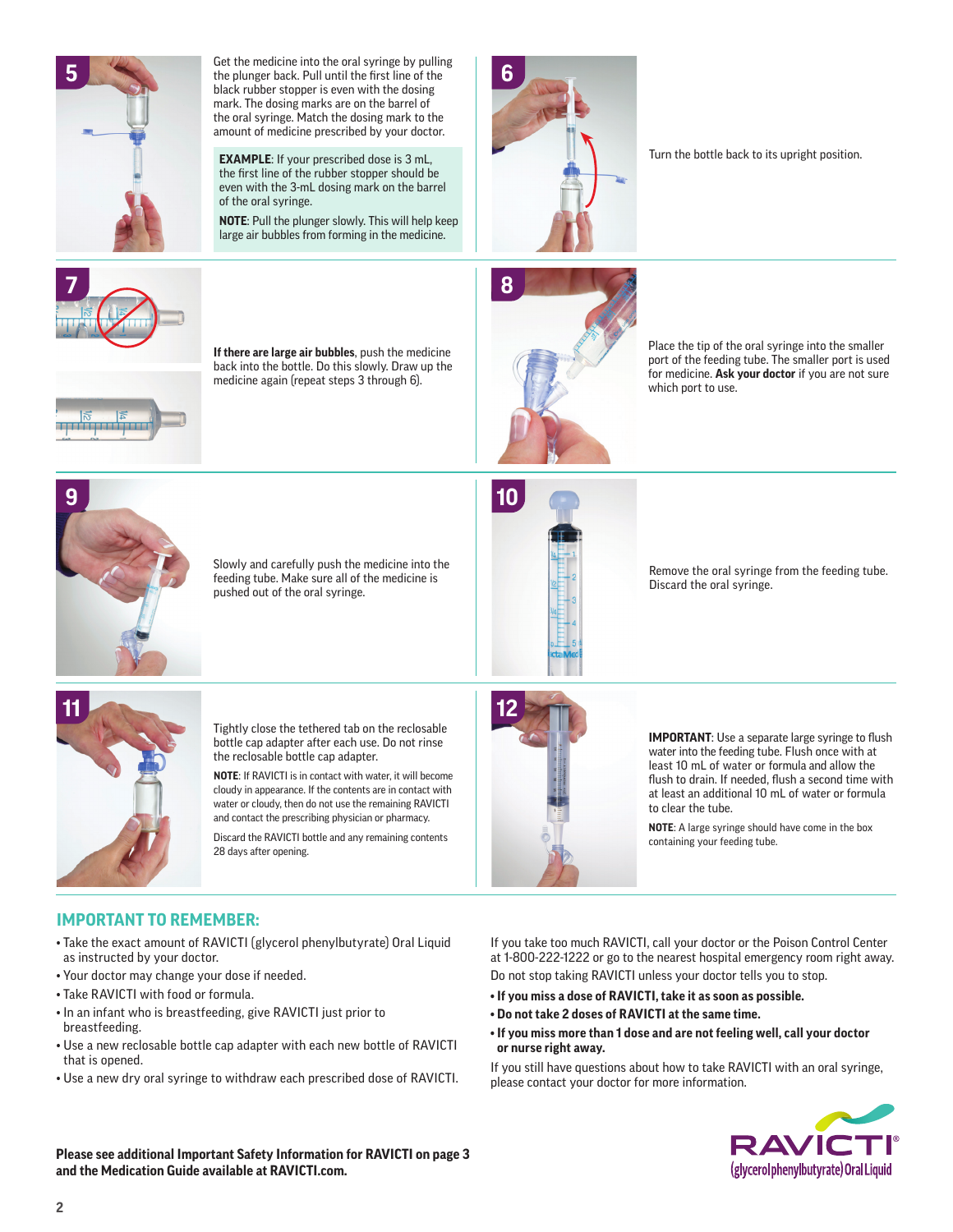

Get the medicine into the oral syringe by pulling the plunger back. Pull until the first line of the black rubber stopper is even with the dosing mark. The dosing marks are on the barrel of the oral syringe. Match the dosing mark to the amount of medicine prescribed by your doctor.

**EXAMPLE**: If your prescribed dose is 3 mL, the first line of the rubber stopper should be even with the 3-mL dosing mark on the barrel of the oral syringe.

**NOTE**: Pull the plunger slowly. This will help keep large air bubbles from forming in the medicine.



Turn the bottle back to its upright position.



**If there are large air bubbles**, push the medicine back into the bottle. Do this slowly. Draw up the medicine again (repeat steps 3 through 6).



Place the tip of the oral syringe into the smaller port of the feeding tube. The smaller port is used for medicine. **Ask your doctor** if you are not sure which port to use.



Slowly and carefully push the medicine into the feeding tube. Make sure all of the medicine is pushed out of the oral syringe.



Remove the oral syringe from the feeding tube. Discard the oral syringe.



Tightly close the tethered tab on the reclosable bottle cap adapter after each use. Do not rinse the reclosable bottle cap adapter.

**NOTE**: If RAVICTI is in contact with water, it will become cloudy in appearance. If the contents are in contact with water or cloudy, then do not use the remaining RAVICTI and contact the prescribing physician or pharmacy.

Discard the RAVICTI bottle and any remaining contents 28 days after opening.



**IMPORTANT:** Use a separate large syringe to flush water into the feeding tube. Flush once with at least 10 mL of water or formula and allow the flush to drain. If needed, flush a second time with at least an additional 10 mL of water or formula to clear the tube.

**NOTE**: A large syringe should have come in the box containing your feeding tube.

# **IMPORTANT TO REMEMBER:**

- Take the exact amount of RAVICTI (glycerol phenylbutyrate) Oral Liquid as instructed by your doctor.
- Your doctor may change your dose if needed.
- Take RAVICTI with food or formula.
- In an infant who is breastfeeding, give RAVICTI just prior to breastfeeding.
- Use a new reclosable bottle cap adapter with each new bottle of RAVICTI that is opened.
- Use a new dry oral syringe to withdraw each prescribed dose of RAVICTI.

If you take too much RAVICTI, call your doctor or the Poison Control Center at 1-800-222-1222 or go to the nearest hospital emergency room right away. Do not stop taking RAVICTI unless your doctor tells you to stop.

- **If you miss a dose of RAVICTI, take it as soon as possible.**
- **Do not take 2 doses of RAVICTI at the same time.**
- **If you miss more than 1 dose and are not feeling well, call your doctor or nurse right away.**

If you still have questions about how to take RAVICTI with an oral syringe, please contact your doctor for more information.



**Please see additional Important Safety Information for RAVICTI on page 3 and the Medication Guide available at RAVICTI.com.**